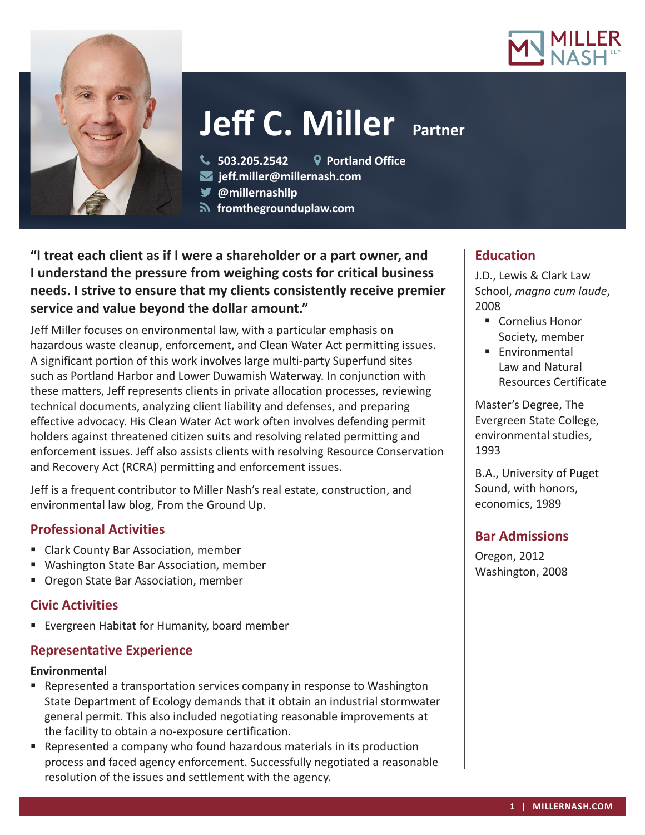



# **Jeff C. Miller** Partner

**503.205.2542 Portland Office**

- **jeff.miller@millernash.com**
- **@millernashllp**
- **fromthegrounduplaw.com**

**"I treat each client as if I were a shareholder or a part owner, and I understand the pressure from weighing costs for critical business needs. I strive to ensure that my clients consistently receive premier service and value beyond the dollar amount."**

Jeff Miller focuses on environmental law, with a particular emphasis on hazardous waste cleanup, enforcement, and Clean Water Act permitting issues. A significant portion of this work involves large multi-party Superfund sites such as Portland Harbor and Lower Duwamish Waterway. In conjunction with these matters, Jeff represents clients in private allocation processes, reviewing technical documents, analyzing client liability and defenses, and preparing effective advocacy. His Clean Water Act work often involves defending permit holders against threatened citizen suits and resolving related permitting and enforcement issues. Jeff also assists clients with resolving Resource Conservation and Recovery Act (RCRA) permitting and enforcement issues.

Jeff is a frequent contributor to Miller Nash's real estate, construction, and environmental law blog, From the Ground Up.

# **Professional Activities**

- **E** Clark County Bar Association, member
- Washington State Bar Association, member
- Oregon State Bar Association, member

## **Civic Activities**

**Evergreen Habitat for Humanity, board member** 

## **Representative Experience**

#### **Environmental**

- **Represented a transportation services company in response to Washington** State Department of Ecology demands that it obtain an industrial stormwater general permit. This also included negotiating reasonable improvements at the facility to obtain a no-exposure certification.
- Represented a company who found hazardous materials in its production process and faced agency enforcement. Successfully negotiated a reasonable resolution of the issues and settlement with the agency.

## **Education**

J.D., Lewis & Clark Law School, *magna cum laude*, 2008

- Cornelius Honor Society, member
- **Environmental** Law and Natural Resources Certificate

Master's Degree, The Evergreen State College, environmental studies, 1993

B.A., University of Puget Sound, with honors, economics, 1989

## **Bar Admissions**

Oregon, 2012 Washington, 2008